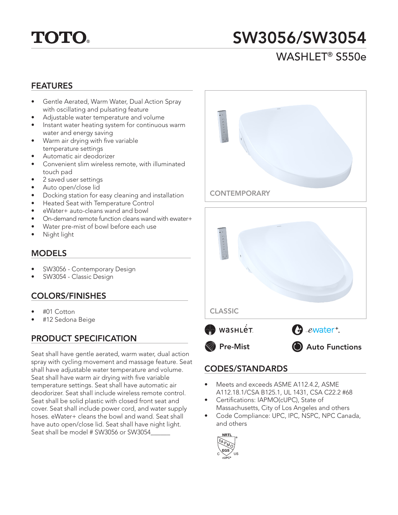# **TOTO.**

# SW3056/SW3054

### WASHLET® S550e

#### FEATURES

- Gentle Aerated, Warm Water, Dual Action Spray with oscillating and pulsating feature
- Adjustable water temperature and volume
- Instant water heating system for continuous warm water and energy saving
- Warm air drying with five variable temperature settings
- Automatic air deodorizer
- Convenient slim wireless remote, with illuminated touch pad
- 2 saved user settings
- Auto open/close lid
- Docking station for easy cleaning and installation
- Heated Seat with Temperature Control
- eWater+ auto-cleans wand and bowl
- On-demand remote function cleans wand with ewater+
- Water pre-mist of bowl before each use
- Night light

#### MODELS

- SW3056 Contemporary Design
- SW3054 Classic Design

### COLORS/FINISHES

- #01 Cotton
- #12 Sedona Beige

### PRODUCT SPECIFICATION

Seat shall have gentle aerated, warm water, dual action spray with cycling movement and massage feature. Seat shall have adjustable water temperature and volume. Seat shall have warm air drying with five variable temperature settings. Seat shall have automatic air deodorizer. Seat shall include wireless remote control. Seat shall be solid plastic with closed front seat and cover. Seat shall include power cord, and water supply hoses. eWater+ cleans the bowl and wand. Seat shall have auto open/close lid. Seat shall have night light. Seat shall be model # SW3056 or SW3054\_\_\_\_\_\_





#### CODES/STANDARDS

- Meets and exceeds ASME A112.4.2, ASME A112.18.1/CSA B125.1, UL 1431, CSA C22.2 #68
- Certifications: IAPMO(cUPC), State of Massachusetts, City of Los Angeles and others
- Code Compliance: UPC, IPC, NSPC, NPC Canada, and others